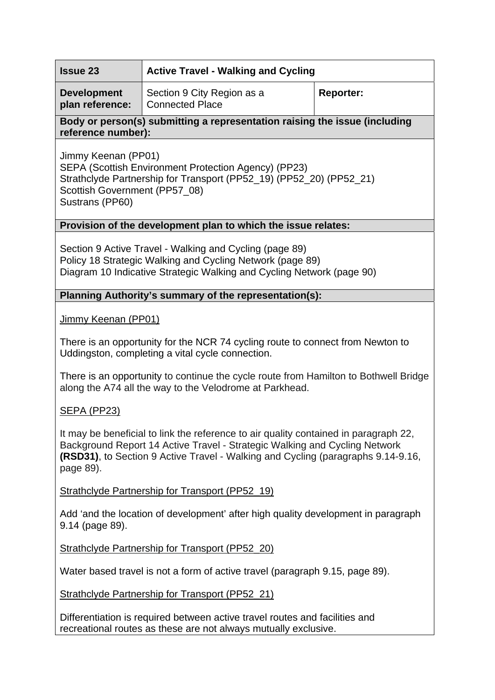| <b>Issue 23</b> | <b>4 Active Travel - Walking and Cycling</b> |
|-----------------|----------------------------------------------|
|-----------------|----------------------------------------------|

**Development plan reference:**  Section 9 City Region as a Connected Place **Reporter:** 

## **Body or person(s) submitting a representation raising the issue (including reference number):**

Jimmy Keenan (PP01) SEPA (Scottish Environment Protection Agency) (PP23) Strathclyde Partnership for Transport (PP52\_19) (PP52\_20) (PP52\_21) Scottish Government (PP57\_08) Sustrans (PP60)

#### **Provision of the development plan to which the issue relates:**

Section 9 Active Travel - Walking and Cycling (page 89) Policy 18 Strategic Walking and Cycling Network (page 89) Diagram 10 Indicative Strategic Walking and Cycling Network (page 90)

### **Planning Authority's summary of the representation(s):**

Jimmy Keenan (PP01)

There is an opportunity for the NCR 74 cycling route to connect from Newton to Uddingston, completing a vital cycle connection.

There is an opportunity to continue the cycle route from Hamilton to Bothwell Bridge along the A74 all the way to the Velodrome at Parkhead.

# SEPA (PP23)

It may be beneficial to link the reference to air quality contained in paragraph 22, Background Report 14 Active Travel - Strategic Walking and Cycling Network **(RSD31)**, to Section 9 Active Travel - Walking and Cycling (paragraphs 9.14-9.16, page 89).

### Strathclyde Partnership for Transport (PP52\_19)

Add 'and the location of development' after high quality development in paragraph 9.14 (page 89).

Strathclyde Partnership for Transport (PP52\_20)

Water based travel is not a form of active travel (paragraph 9.15, page 89).

Strathclyde Partnership for Transport (PP52\_21)

Differentiation is required between active travel routes and facilities and recreational routes as these are not always mutually exclusive.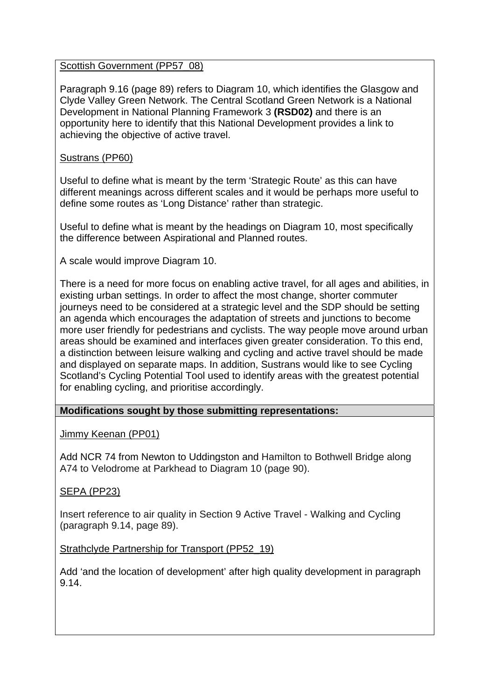#### Scottish Government (PP57\_08)

Paragraph 9.16 (page 89) refers to Diagram 10, which identifies the Glasgow and Clyde Valley Green Network. The Central Scotland Green Network is a National Development in National Planning Framework 3 **(RSD02)** and there is an opportunity here to identify that this National Development provides a link to achieving the objective of active travel.

#### Sustrans (PP60)

Useful to define what is meant by the term 'Strategic Route' as this can have different meanings across different scales and it would be perhaps more useful to define some routes as 'Long Distance' rather than strategic.

Useful to define what is meant by the headings on Diagram 10, most specifically the difference between Aspirational and Planned routes.

A scale would improve Diagram 10.

There is a need for more focus on enabling active travel, for all ages and abilities, in existing urban settings. In order to affect the most change, shorter commuter journeys need to be considered at a strategic level and the SDP should be setting an agenda which encourages the adaptation of streets and junctions to become more user friendly for pedestrians and cyclists. The way people move around urban areas should be examined and interfaces given greater consideration. To this end, a distinction between leisure walking and cycling and active travel should be made and displayed on separate maps. In addition, Sustrans would like to see Cycling Scotland's Cycling Potential Tool used to identify areas with the greatest potential for enabling cycling, and prioritise accordingly.

### **Modifications sought by those submitting representations:**

#### Jimmy Keenan (PP01)

Add NCR 74 from Newton to Uddingston and Hamilton to Bothwell Bridge along A74 to Velodrome at Parkhead to Diagram 10 (page 90).

### SEPA (PP23)

Insert reference to air quality in Section 9 Active Travel - Walking and Cycling (paragraph 9.14, page 89).

#### Strathclyde Partnership for Transport (PP52\_19)

Add 'and the location of development' after high quality development in paragraph 9.14.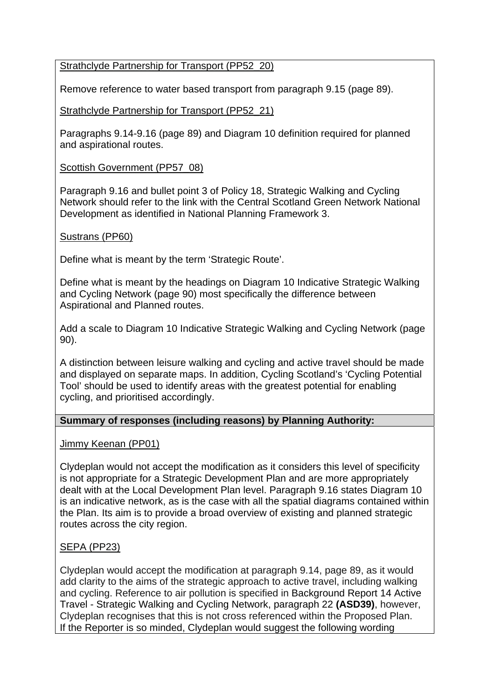### Strathclyde Partnership for Transport (PP52\_20)

Remove reference to water based transport from paragraph 9.15 (page 89).

Strathclyde Partnership for Transport (PP52\_21)

Paragraphs 9.14-9.16 (page 89) and Diagram 10 definition required for planned and aspirational routes.

Scottish Government (PP57\_08)

Paragraph 9.16 and bullet point 3 of Policy 18, Strategic Walking and Cycling Network should refer to the link with the Central Scotland Green Network National Development as identified in National Planning Framework 3.

#### Sustrans (PP60)

Define what is meant by the term 'Strategic Route'.

Define what is meant by the headings on Diagram 10 Indicative Strategic Walking and Cycling Network (page 90) most specifically the difference between Aspirational and Planned routes.

Add a scale to Diagram 10 Indicative Strategic Walking and Cycling Network (page 90).

A distinction between leisure walking and cycling and active travel should be made and displayed on separate maps. In addition, Cycling Scotland's 'Cycling Potential Tool' should be used to identify areas with the greatest potential for enabling cycling, and prioritised accordingly.

#### **Summary of responses (including reasons) by Planning Authority:**

Jimmy Keenan (PP01)

Clydeplan would not accept the modification as it considers this level of specificity is not appropriate for a Strategic Development Plan and are more appropriately dealt with at the Local Development Plan level. Paragraph 9.16 states Diagram 10 is an indicative network, as is the case with all the spatial diagrams contained within the Plan. Its aim is to provide a broad overview of existing and planned strategic routes across the city region.

### SEPA (PP23)

Clydeplan would accept the modification at paragraph 9.14, page 89, as it would add clarity to the aims of the strategic approach to active travel, including walking and cycling. Reference to air pollution is specified in Background Report 14 Active Travel - Strategic Walking and Cycling Network, paragraph 22 **(ASD39)**, however, Clydeplan recognises that this is not cross referenced within the Proposed Plan. If the Reporter is so minded, Clydeplan would suggest the following wording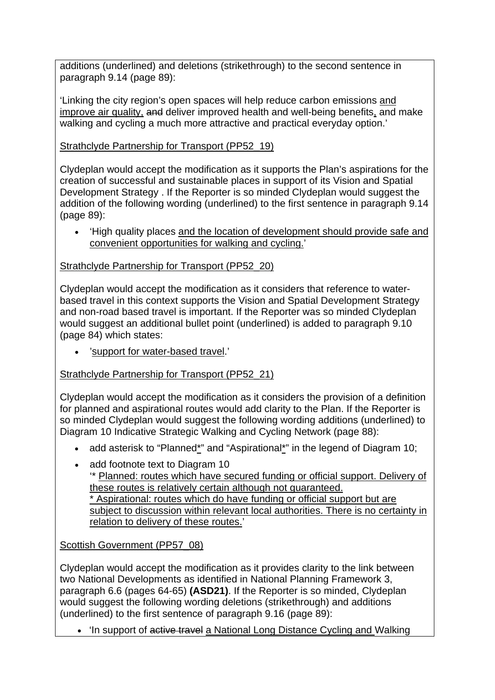additions (underlined) and deletions (strikethrough) to the second sentence in paragraph 9.14 (page 89):

'Linking the city region's open spaces will help reduce carbon emissions and improve air quality, and deliver improved health and well-being benefits, and make walking and cycling a much more attractive and practical everyday option.'

Strathclyde Partnership for Transport (PP52\_19)

Clydeplan would accept the modification as it supports the Plan's aspirations for the creation of successful and sustainable places in support of its Vision and Spatial Development Strategy . If the Reporter is so minded Clydeplan would suggest the addition of the following wording (underlined) to the first sentence in paragraph 9.14 (page 89):

 'High quality places and the location of development should provide safe and convenient opportunities for walking and cycling.'

Strathclyde Partnership for Transport (PP52\_20)

Clydeplan would accept the modification as it considers that reference to waterbased travel in this context supports the Vision and Spatial Development Strategy and non-road based travel is important. If the Reporter was so minded Clydeplan would suggest an additional bullet point (underlined) is added to paragraph 9.10 (page 84) which states:

'support for water-based travel.'

Strathclyde Partnership for Transport (PP52\_21)

Clydeplan would accept the modification as it considers the provision of a definition for planned and aspirational routes would add clarity to the Plan. If the Reporter is so minded Clydeplan would suggest the following wording additions (underlined) to Diagram 10 Indicative Strategic Walking and Cycling Network (page 88):

- add asterisk to "Planned\*" and "Aspirational\*" in the legend of Diagram 10;
- add footnote text to Diagram 10

'\* Planned: routes which have secured funding or official support. Delivery of these routes is relatively certain although not guaranteed.

\* Aspirational: routes which do have funding or official support but are subject to discussion within relevant local authorities. There is no certainty in relation to delivery of these routes.'

Scottish Government (PP57\_08)

Clydeplan would accept the modification as it provides clarity to the link between two National Developments as identified in National Planning Framework 3, paragraph 6.6 (pages 64-65) **(ASD21)**. If the Reporter is so minded, Clydeplan would suggest the following wording deletions (strikethrough) and additions (underlined) to the first sentence of paragraph 9.16 (page 89):

• 'In support of active travel a National Long Distance Cycling and Walking